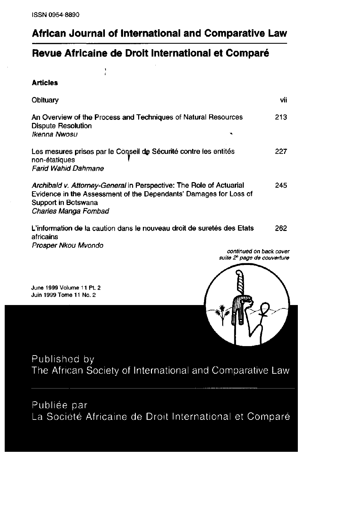## African Journal of International and Comparative Law

## Revue Africaine de Droit International et Comparé

 $\frac{1}{i}$ 

**Articles** 

| Obituary                                                                                                                                                                                | vii  |
|-----------------------------------------------------------------------------------------------------------------------------------------------------------------------------------------|------|
| An Overview of the Process and Techniques of Natural Resources<br><b>Dispute Resolution</b><br>Ikenna Nwosu                                                                             | 213  |
| Les mesures prises par le Conseil de Sécurité contre les entités<br>non-étatiques<br><b>Farid Wahid Dahmane</b>                                                                         | 227  |
| Archibald v. Attorney-General in Perspective: The Role of Actuarial<br>Evidence in the Assessment of the Dependants' Damages for Loss of<br>Support in Botswana<br>Charles Manga Fombad | 245. |
| L'information de la caution dans le nouveau droit de suretés des Etats<br>africains                                                                                                     | 262. |

Prosper Nkou Mvondo

continued on back cover suite 2<sup>è</sup> page de couverture

June 1999 Volume 11 Pt. 2 Juin 1999 Tome 11 No. 2



Published by The African Society of International and Comparative Law

Publiée par La Société Africaine de Droit International et Comparé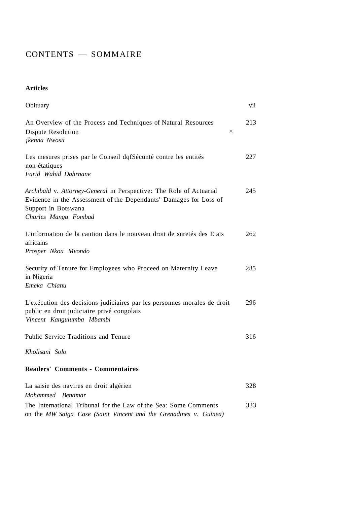## CONTENTS — SOMMAIRE

**Articles** 

| Obituary                                                                                                                                                                                | vii |
|-----------------------------------------------------------------------------------------------------------------------------------------------------------------------------------------|-----|
| An Overview of the Process and Techniques of Natural Resources<br>Dispute Resolution<br>Λ<br>¡kenna Nwosit                                                                              | 213 |
| Les mesures prises par le Conseil dqfSécunté contre les entités<br>non-étatiques<br>Farid Wahid Dahrnane                                                                                | 227 |
| Archibald v. Attorney-General in Perspective: The Role of Actuarial<br>Evidence in the Assessment of the Dependants' Damages for Loss of<br>Support in Botswana<br>Charles Manga Fombad | 245 |
| L'information de la caution dans le nouveau droit de suretés des Etats<br>africains<br>Prosper Nkou Mvondo                                                                              | 262 |
| Security of Tenure for Employees who Proceed on Maternity Leave<br>in Nigeria<br>Emeka Chianu                                                                                           | 285 |
| L'exécution des decisions judiciaires par les personnes morales de droit<br>public en droit judiciaire privé congolais<br>Vincent Kangulumba Mbambi                                     | 296 |
| Public Service Traditions and Tenure                                                                                                                                                    | 316 |
| Kholisani Solo                                                                                                                                                                          |     |
| <b>Readers' Comments - Commentaires</b>                                                                                                                                                 |     |
| La saisie des navires en droit algérien<br>Mohammed Benamar                                                                                                                             | 328 |
| The International Tribunal for the Law of the Sea: Some Comments<br>on the MW Saiga Case (Saint Vincent and the Grenadines v. Guinea)                                                   | 333 |